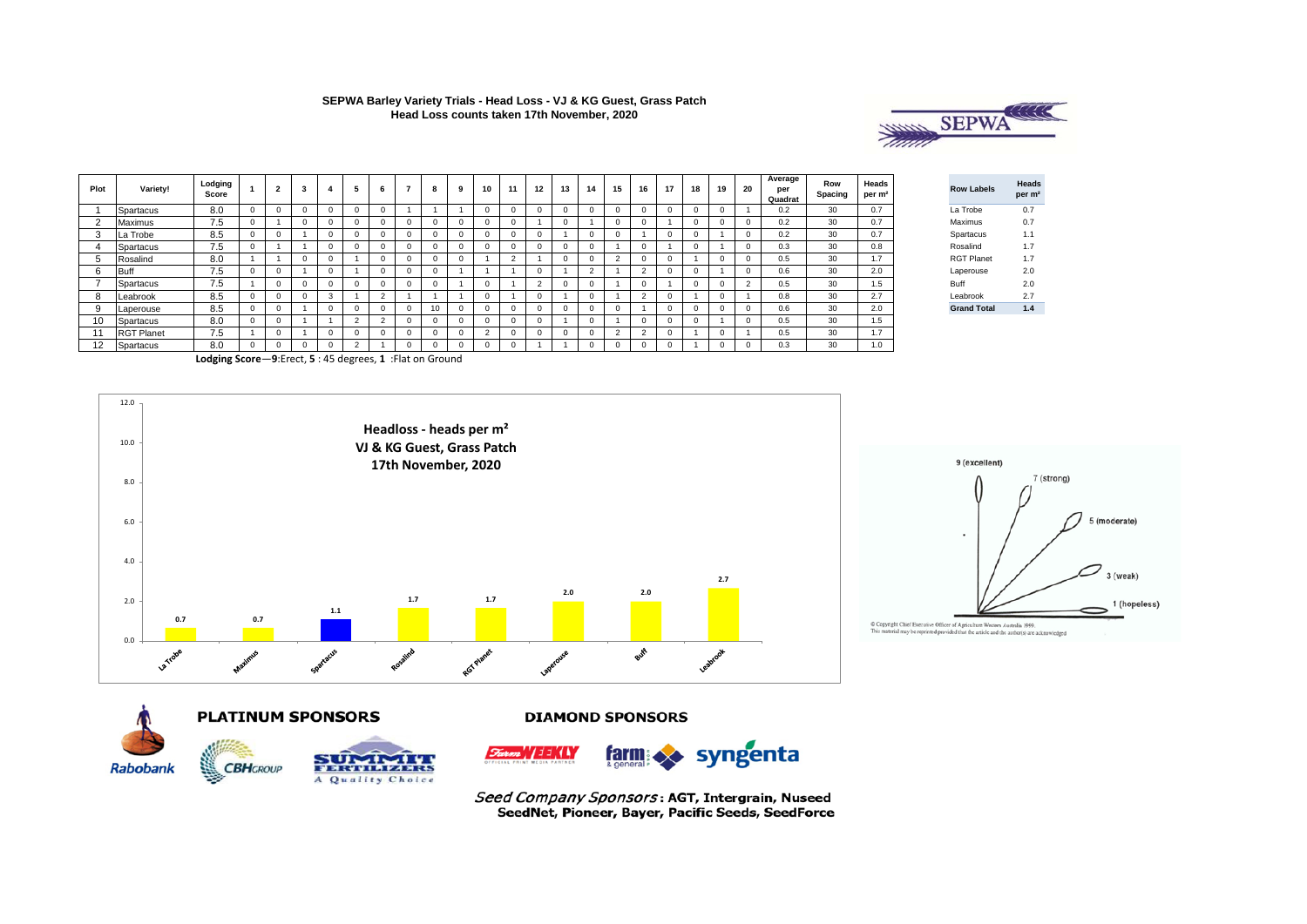

| Plot   | <b>Variety!</b>   | Lodging<br>Score | $\overline{2}$ |  | 6 | 7 | 8 | 10 | 11 | 12 | 13 | 14       | 15         | 16         | 17       | 18 | 19 | 20       | Average<br>per<br>Quadrat | Row<br>Spacing | Heads<br>per m <sup>2</sup> | <b>Row Labels</b>  | Heads<br>per m <sup>2</sup> |
|--------|-------------------|------------------|----------------|--|---|---|---|----|----|----|----|----------|------------|------------|----------|----|----|----------|---------------------------|----------------|-----------------------------|--------------------|-----------------------------|
|        | Spartacus         | 8.0              |                |  |   |   |   |    |    |    |    |          |            |            | 0        | 0  | 0  |          | 0.2                       | 30             | 0.7                         | La Trobe           | 0.7                         |
| $\sim$ | Maximus           | 7.5              |                |  |   |   |   |    |    |    |    |          |            |            |          | 0  | 0  |          | 0.2                       | 30             | 0.7                         | Maximus            | 0.7                         |
|        | La Trobe          | 8.5              |                |  |   |   |   |    |    |    |    |          |            |            | 0        | 0  |    | $\Omega$ | 0.2                       | 30             | 0.7                         | Spartacus          | 1.1                         |
|        | Spartacus         | 7.5              |                |  |   |   |   |    |    |    |    |          |            |            |          | 0  |    | $\Omega$ | 0.3                       | 30             | 0.8                         | Rosalind           | 1.7                         |
| 5      | Rosalind          | 8.0              |                |  |   |   |   |    |    |    |    |          | $\epsilon$ |            | U        |    | 0  |          | 0.5                       | 30             | 1.7                         | <b>RGT Planet</b>  | 1.7                         |
| 6      | Buff              | 7.5              |                |  |   |   |   |    |    |    |    | $\Omega$ |            | $\sqrt{2}$ | $\Omega$ | 0  |    | $\Omega$ | 0.6                       | 30             | 2.0                         | Laperouse          | 2.0                         |
|        | Spartacus         | 7.5              |                |  |   |   |   |    |    |    |    |          |            |            |          | 0  | 0  |          | 0.5                       | 30             | 1.5                         | Buff               | 2.0                         |
| 8      | Leabrook          | 8.5              |                |  |   |   |   |    |    |    |    |          |            | $\sim$     | $\Omega$ |    | 0  |          | 0.8                       | 30             | 2.7                         | Leabrook           | 2.7                         |
| 9      | Laperouse         | 8.5              |                |  |   |   |   |    |    |    |    |          |            |            | 0        |    | 0  |          | 0.6                       | 30             | 2.0                         | <b>Grand Total</b> | 1.4                         |
| 10     | Spartacus         | 8.0              |                |  |   |   |   |    |    |    |    |          |            |            |          | 0  |    | $\Omega$ | 0.5                       | 30             | 1.5                         |                    |                             |
|        | <b>RGT Planet</b> | 7.5              |                |  |   |   |   |    |    |    |    |          | $\sim$     | $\Omega$   | 0        |    | 0  |          | 0.5                       | 30             | 1.7                         |                    |                             |
| 12     | Spartacus         | 8.0              |                |  |   |   |   |    |    |    |    |          |            |            |          |    | 0  |          | 0.3                       | 30             | 1.0                         |                    |                             |

**Lodging Score**—**9**:Erect, **5** : 45 degrees, **1** :Flat on Ground









A Quality Choice

**CBHGROUP** 

**DIAMOND SPONSORS** 



syngenta  $\int_{\alpha}^{\alpha} a \, d \alpha$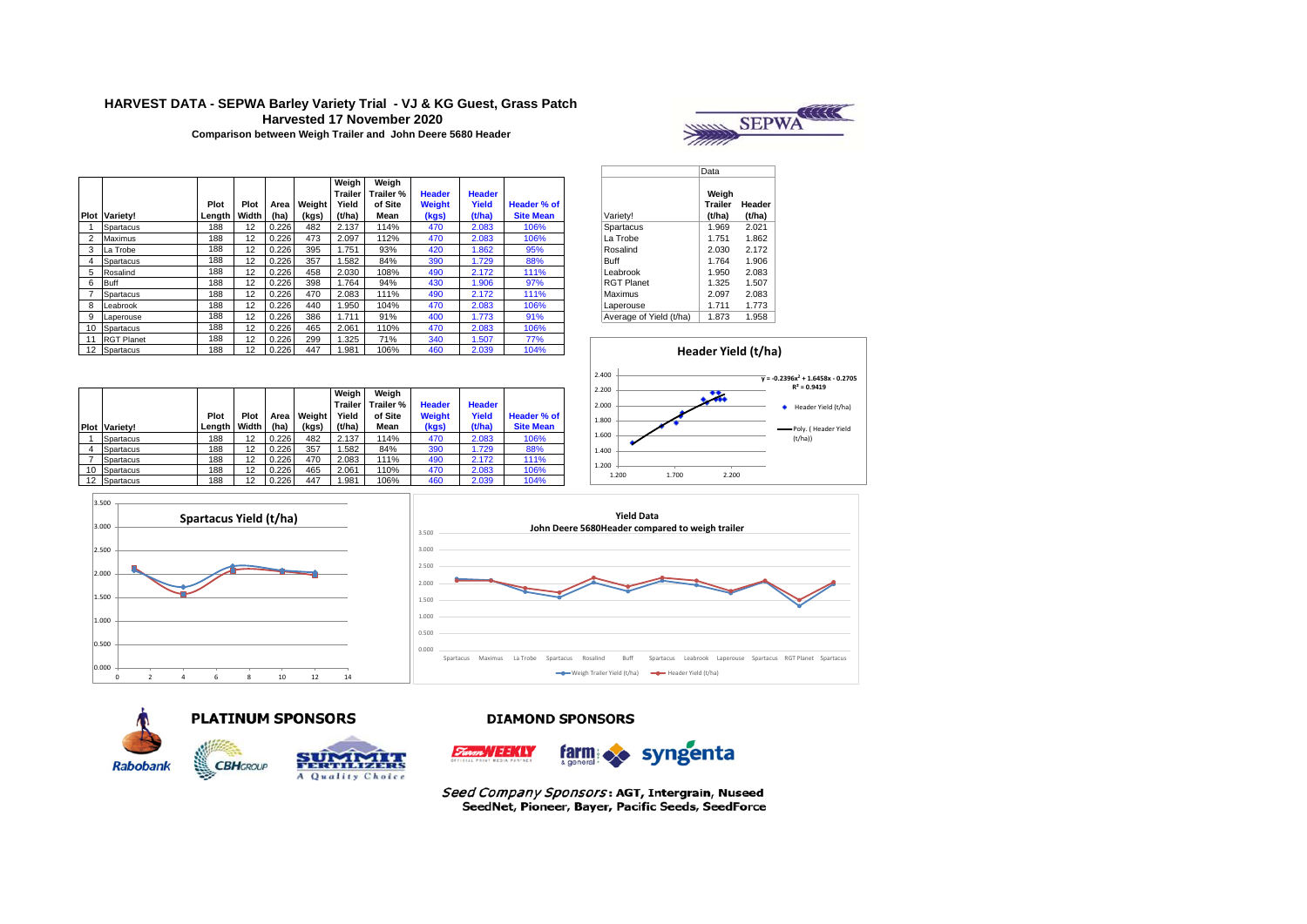# **HARVEST DATA - SEPWA Barley Variety Trial - VJ & KG Guest, Grass Patch Harvested 17 November 2020**



**Comparison between Weigh Trailer and John Deere 5680 Header** 

|                |                      |        |       |       |        | Weigh<br>Trailer | Weiah<br>Trailer % | <b>Header</b> | <b>Header</b> |                  |                         | Weiah                    |        |
|----------------|----------------------|--------|-------|-------|--------|------------------|--------------------|---------------|---------------|------------------|-------------------------|--------------------------|--------|
|                |                      | Plot   | Plot  | Area  | Weight | Yield            | of Site            | Weight        | Yield         | Header % of      |                         | Trailer                  | Heade  |
|                | <b>Plot Variety!</b> | Length | Width | (ha)  | (kgs)  | (t/ha)           | Mean               | (kgs)         | (t/ha)        | <b>Site Mean</b> | Variety!                | (t/ha)                   | (t/ha) |
|                | Spartacus            | 188    | 12    | 0.226 | 482    | 2.137            | 114%               | 470           | 2.083         | 106%             | Spartacus               | 1.969                    | 2.021  |
| $\overline{2}$ | Maximus              | 188    | 12    | 0.226 | 473    | 2.097            | 112%               | 470           | 2.083         | 106%             | La Trobe                | 1.751                    | 1.862  |
| 3              | La Trobe             | 188    | 12    | 0.226 | 395    | 1.751            | 93%                | 420           | 1.862         | 95%              | Rosalind                | 2.030                    | 2.172  |
| 4              | Spartacus            | 188    | 12    | 0.226 | 357    | 1.582            | 84%                | 390           | 1.729         | 88%              | Buff                    | 1.764                    | 1.906  |
| 5              | Rosalind             | 188    | 12    | 0.226 | 458    | 2.030            | 108%               | 490           | 2.172         | 111%             | Leabrook                | 1.950                    | 2.083  |
| 6              | Buff                 | 188    | 12    | 0.226 | 398    | 1.764            | 94%                | 430           | 1.906         | 97%              | <b>RGT Planet</b>       | 1.325                    | 1.507  |
|                | Spartacus            | 188    | 12    | 0.226 | 470    | 2.083            | 111%               | 490           | 2.172         | 111%             | Maximus                 | 2.097                    | 2.083  |
| 8              | Leabrook             | 188    | 12    | 0.226 | 440    | .950             | 104%               | 470           | 2.083         | 106%             | Laperouse               | 1.711                    | 1.773  |
| 9              | Laperouse            | 188    | 12    | 0.226 | 386    | 1.711            | 91%                | 400           | 1.773         | 91%              | Average of Yield (t/ha) | 1.873                    | 1.958  |
| 10             | Spartacus            | 188    | 12    | 0.226 | 465    | 2.061            | 110%               | 470           | 2.083         | 106%             |                         |                          |        |
| 11             | <b>RGT Planet</b>    | 188    | 12    | 0.226 | 299    | 1.325            | 71%                | 340           | 1.507         | 77%              |                         |                          |        |
|                | 12 Spartacus         | 188    | 12    | 0.226 | 447    | 1.981            | 106%               | 460           | 2.039         | 104%             |                         | <b>Header Yield (t/l</b> |        |

|                         | Data                       |                  |
|-------------------------|----------------------------|------------------|
| Variety!                | Weigh<br>Trailer<br>(t/ha) | Header<br>(t/ha) |
| Spartacus               | 1.969                      | 2.021            |
| La Trobe                | 1.751                      | 1.862            |
| Rosalind                | 2.030                      | 2.172            |
| <b>Buff</b>             | 1.764                      | 1.906            |
| Leabrook                | 1.950                      | 2.083            |
| <b>RGT Planet</b>       | 1.325                      | 1.507            |
| Maximus                 | 2.097                      | 2.083            |
| Laperouse               | 1.711                      | 1.773            |
| Average of Yield (t/ha) | 1.873                      | 1.958            |



| Plot | Variety!  | Plot<br>Lenath | Plot<br>Width | Area<br>(ha) | Weight<br>(kgs) | Weigh<br><b>Trailer</b><br>Yield<br>(t/ha) | Weiah<br>Trailer %<br>of Site<br>Mean | <b>Header</b><br>Weight<br>(kgs) | <b>Header</b><br>Yield<br>(t/ha) | Header % of<br><b>Site Mean</b> |
|------|-----------|----------------|---------------|--------------|-----------------|--------------------------------------------|---------------------------------------|----------------------------------|----------------------------------|---------------------------------|
|      | Spartacus | 188            | 12            | 0.226        | 482             | 2.137                                      | 114%                                  | 470                              | 2.083                            | 106%                            |
| 4    | Spartacus | 188            | 12            | 0.226        | 357             | .582                                       | 84%                                   | 390                              | 1.729                            | 88%                             |
|      | Spartacus | 188            | 12            | 0.226        | 470             | 2.083                                      | 111%                                  | 490                              | 2.172                            | 111%                            |
| 10   | Spartacus | 188            | 12            | 0.226        | 465             | 2.061                                      | 110%                                  | 470                              | 2.083                            | 106%                            |
| 12   | Spartacus | 188            | 12            | 0.226        | 447             | .981                                       | 106%                                  | 460                              | 2.039                            | 104%                            |







#### **DIAMOND SPONSORS**

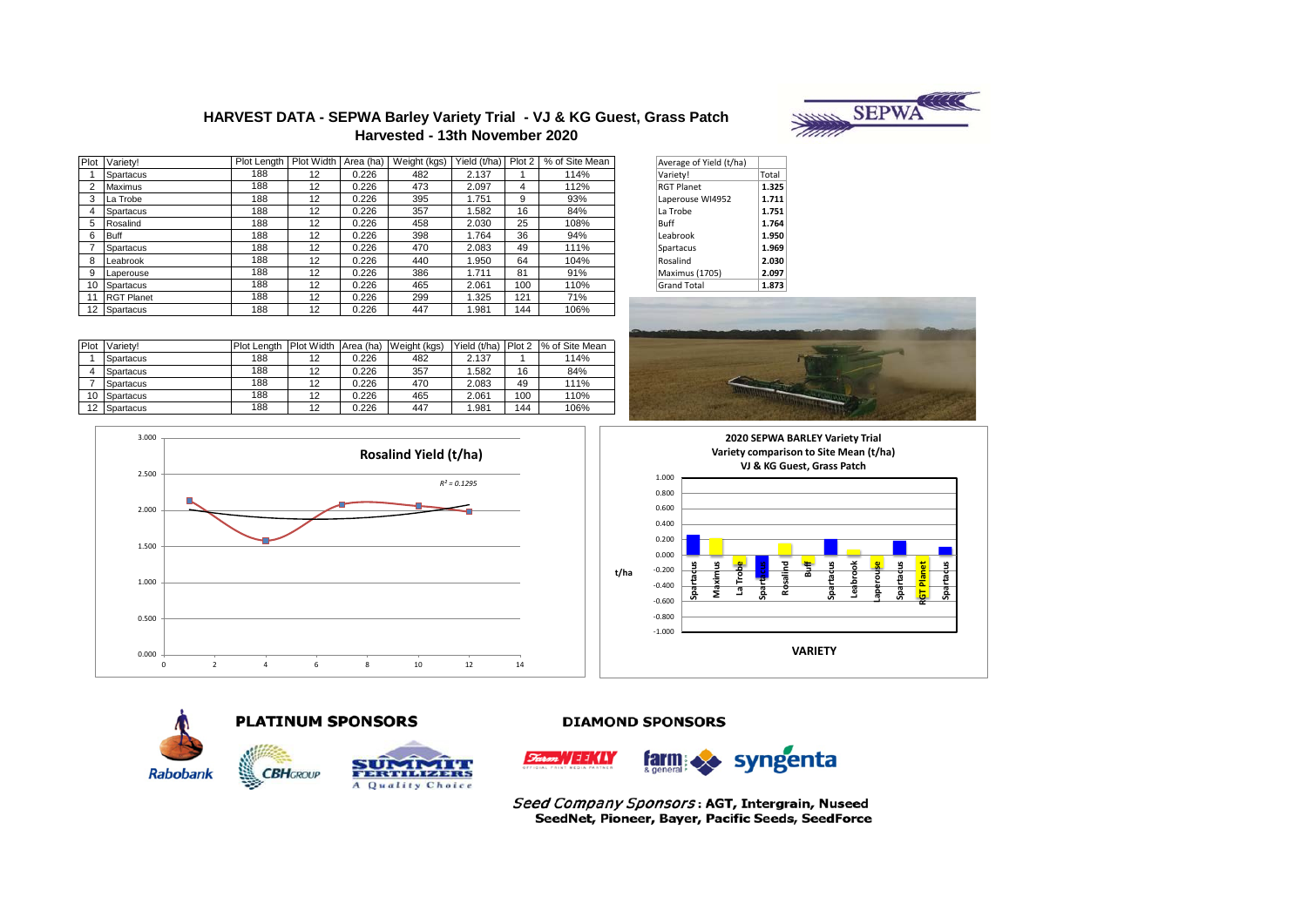

#### **HARVEST DATA - SEPWA Barley Variety Trial - VJ & KG Guest, Grass Patch Harvested - 13th November 2020**

| Plot              | Variety!          | Plot Length | Plot Width Area (ha) |       | Weight (kgs) | Yield (t/ha) | Plot 2 | % of Site Mean | Average of Yield (t/ha) |       |
|-------------------|-------------------|-------------|----------------------|-------|--------------|--------------|--------|----------------|-------------------------|-------|
|                   | Spartacus         | 188         | 12                   | 0.226 | 482          | 2.137        |        | 114%           | Variety!                | Total |
| っ                 | Maximus           | 188         | 12                   | 0.226 | 473          | 2.097        | 4      | 112%           | <b>RGT Planet</b>       | 1.325 |
| 3                 | La Trobe          | 188         | 12                   | 0.226 | 395          | 1.751        | 9      | 93%            | Laperouse WI4952        | 1.711 |
| 4                 | Spartacus         | 188         | $12 \overline{ }$    | 0.226 | 357          | .582         | 16     | 84%            | La Trobe                | 1.751 |
| 5                 | Rosalind          | 188         | 12                   | 0.226 | 458          | 2.030        | 25     | 108%           | Buff                    | 1.764 |
| 6                 | <b>Buff</b>       | 188         | 12                   | 0.226 | 398          | .764         | 36     | 94%            | Leabrook                | 1.950 |
|                   | Spartacus         | 188         | 12                   | 0.226 | 470          | 2.083        | 49     | 111%           | Spartacus               | 1.969 |
| 8                 | Leabrook          | 188         | 12                   | 0.226 | 440          | .950         | 64     | 104%           | Rosalind                | 2.030 |
| 9                 | Laperouse         | 188         | 12                   | 0.226 | 386          | 1.711        | 81     | 91%            | Maximus (1705)          | 2.097 |
| 10                | Spartacus         | 188         | 12                   | 0.226 | 465          | 2.061        | 100    | 110%           | <b>Grand Total</b>      | 1.873 |
| 11                | <b>RGT Planet</b> | 188         | 12                   | 0.226 | 299          | 1.325        | 121    | 71%            |                         |       |
| $12 \overline{ }$ | Spartacus         | 188         | 12                   | 0.226 | 447          | .981         | 144    | 106%           |                         |       |

| Average of Yield (t/ha) |       |
|-------------------------|-------|
| Variety!                | Total |
| <b>RGT Planet</b>       | 1.325 |
| Laperouse WI4952        | 1.711 |
| La Trobe                | 1.751 |
| Buff                    | 1.764 |
| Leabrook                | 1.950 |
| Spartacus               | 1.969 |
| Rosalind                | 2.030 |
| Maximus (1705)          | 2.097 |
| <b>Grand Total</b>      | 1.873 |

| Plot | Variety!  | Plot Lenath | Plot Width Area (ha) |       | Weight (kgs) | Yield (t/ha) | Plot 2 | 1% of Site Mean |
|------|-----------|-------------|----------------------|-------|--------------|--------------|--------|-----------------|
|      | Spartacus | 188         | 12                   | 0.226 | 482          | 2.137        |        | 114%            |
|      | Spartacus | 188         | 12                   | 0.226 | 357          | 1.582        | 16     | 84%             |
|      | Spartacus | 188         | 12                   | 0.226 | 470          | 2.083        | 49     | 111%            |
| 10   | Spartacus | 188         | 12                   | 0.226 | 465          | 2.061        | 100    | 110%            |
| 12   | Spartacus | 188         | 12                   | 0.226 | 447          | .981         | 144    | 106%            |



![](_page_2_Figure_6.jpeg)

![](_page_2_Figure_7.jpeg)

![](_page_2_Picture_8.jpeg)

![](_page_2_Picture_9.jpeg)

**CBH**GROUP

![](_page_2_Picture_10.jpeg)

#### **DIAMOND SPONSORS**

![](_page_2_Picture_12.jpeg)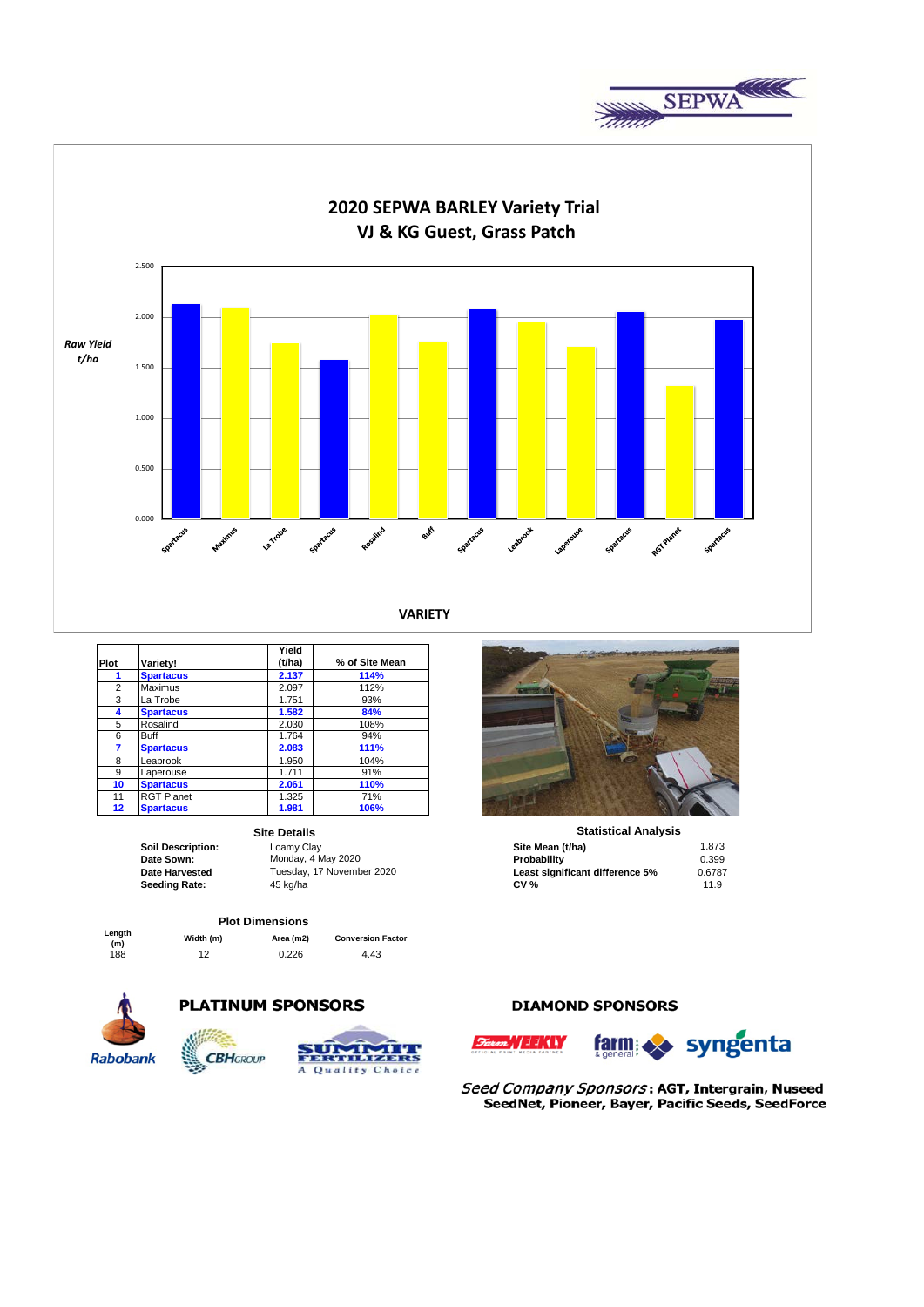![](_page_3_Picture_0.jpeg)

![](_page_3_Figure_1.jpeg)

|                |                   | Yield  |                |
|----------------|-------------------|--------|----------------|
| Plot           | Variety!          | (t/ha) | % of Site Mean |
|                | <b>Spartacus</b>  | 2.137  | 114%           |
| $\overline{2}$ | Maximus           | 2.097  | 112%           |
| 3              | La Trobe          | 1.751  | 93%            |
| 4              | <b>Spartacus</b>  | 1.582  | 84%            |
| 5              | Rosalind          | 2.030  | 108%           |
| 6              | <b>Buff</b>       | 1.764  | 94%            |
| 7              | <b>Spartacus</b>  | 2.083  | 111%           |
| 8              | Leabrook          | 1.950  | 104%           |
| 9              | Laperouse         | 1.711  | 91%            |
| 10             | <b>Spartacus</b>  | 2.061  | 110%           |
| 11             | <b>RGT Planet</b> | 1.325  | 71%            |
| 12             | <b>Spartacus</b>  | 1.981  | 106%           |

#### **Site Details**

# **Plot Dimensions**

**Length (m) Width (m) Area (m2) Conversion Factor**

# 188 12 0.226 4.43

**PLATINUM SPONSORS** 

![](_page_3_Picture_11.jpeg)

![](_page_3_Picture_12.jpeg)

![](_page_3_Picture_13.jpeg)

### **DIAMOND SPONSORS**

![](_page_3_Picture_15.jpeg)

![](_page_3_Picture_16.jpeg)

![](_page_3_Picture_18.jpeg)

|                   | <b>Site Details</b>       | <b>Statistical Analysis</b>     |        |  |
|-------------------|---------------------------|---------------------------------|--------|--|
| Soil Description: | Loamy Clay                | Site Mean (t/ha)                | 1.873  |  |
| Date Sown:        | Monday, 4 May 2020        | Probability                     | 0.399  |  |
| Date Harvested    | Tuesday, 17 November 2020 | Least significant difference 5% | 0.6787 |  |
| Seeding Rate:     | 45 ka/ha                  | <b>CV %</b>                     | 11.9   |  |